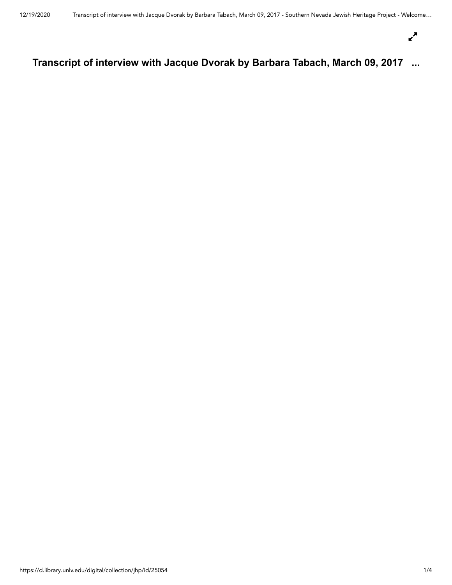$\mathbf{r}^{\mathbf{N}}$ 

# **Transcript of interview with Jacque Dvorak by Barbara Tabach, March 09, 2017 ...**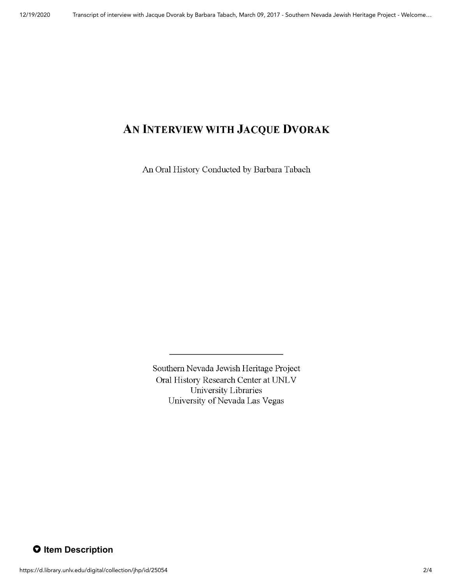## AN INTERVIEW WITH JACQUE DVORAK

An Oral History Conducted by Barbara Tabach

Southern Nevada Jewish Heritage Project Oral History Research Center at UNLV University Libraries University of Nevada Las Vegas

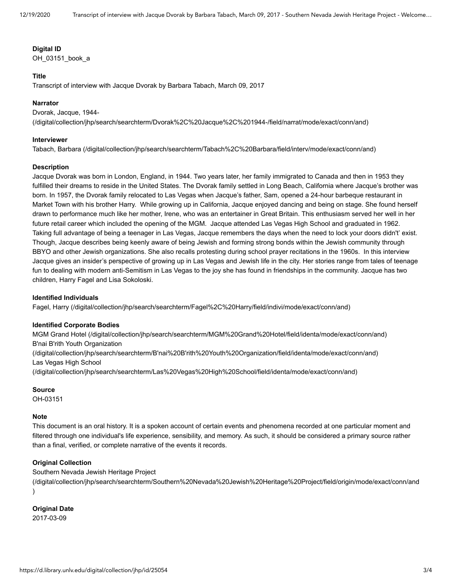#### **Digital ID**

OH\_03151\_book\_a

#### **Title**

Transcript of interview with Jacque Dvorak by Barbara Tabach, March 09, 2017

#### **Narrator**

Dvorak, Jacque, 1944- [\(/digital/collection/jhp/search/searchterm/Dvorak%2C%20Jacque%2C%201944-/field/narrat/mode/exact/conn/and\)](https://d.library.unlv.edu/digital/collection/jhp/search/searchterm/Dvorak%2C%20Jacque%2C%201944-/field/narrat/mode/exact/conn/and)

#### **Interviewer**

[Tabach, Barbara \(/digital/collection/jhp/search/searchterm/Tabach%2C%20Barbara/field/interv/mode/exact/conn/and\)](https://d.library.unlv.edu/digital/collection/jhp/search/searchterm/Tabach%2C%20Barbara/field/interv/mode/exact/conn/and)

#### **Description**

Jacque Dvorak was born in London, England, in 1944. Two years later, her family immigrated to Canada and then in 1953 they fulfilled their dreams to reside in the United States. The Dvorak family settled in Long Beach, California where Jacque's brother was born. In 1957, the Dvorak family relocated to Las Vegas when Jacque's father, Sam, opened a 24-hour barbeque restaurant in Market Town with his brother Harry. While growing up in California, Jacque enjoyed dancing and being on stage. She found herself drawn to performance much like her mother, Irene, who was an entertainer in Great Britain. This enthusiasm served her well in her future retail career which included the opening of the MGM. Jacque attended Las Vegas High School and graduated in 1962. Taking full advantage of being a teenager in Las Vegas, Jacque remembers the days when the need to lock your doors didn't' exist. Though, Jacque describes being keenly aware of being Jewish and forming strong bonds within the Jewish community through BBYO and other Jewish organizations. She also recalls protesting during school prayer recitations in the 1960s. In this interview Jacque gives an insider's perspective of growing up in Las Vegas and Jewish life in the city. Her stories range from tales of teenage fun to dealing with modern anti-Semitism in Las Vegas to the joy she has found in friendships in the community. Jacque has two children, Harry Fagel and Lisa Sokoloski.

#### **Identified Individuals**

[Fagel, Harry \(/digital/collection/jhp/search/searchterm/Fagel%2C%20Harry/field/indivi/mode/exact/conn/and\)](https://d.library.unlv.edu/digital/collection/jhp/search/searchterm/Fagel%2C%20Harry/field/indivi/mode/exact/conn/and)

#### **Identified Corporate Bodies**

[MGM Grand Hotel \(/digital/collection/jhp/search/searchterm/MGM%20Grand%20Hotel/field/identa/mode/exact/conn/and\)](https://d.library.unlv.edu/digital/collection/jhp/search/searchterm/MGM%20Grand%20Hotel/field/identa/mode/exact/conn/and) B'nai B'rith Youth Organization

[\(/digital/collection/jhp/search/searchterm/B'nai%20B'rith%20Youth%20Organization/field/identa/mode/exact/conn/and\)](https://d.library.unlv.edu/digital/collection/jhp/search/searchterm/B) Las Vegas High School

[\(/digital/collection/jhp/search/searchterm/Las%20Vegas%20High%20School/field/identa/mode/exact/conn/and\)](https://d.library.unlv.edu/digital/collection/jhp/search/searchterm/Las%20Vegas%20High%20School/field/identa/mode/exact/conn/and)

**Source**

OH-03151

#### **Note**

This document is an oral history. It is a spoken account of certain events and phenomena recorded at one particular moment and filtered through one individual's life experience, sensibility, and memory. As such, it should be considered a primary source rather than a final, verified, or complete narrative of the events it records.

### **Original Collection**

Southern Nevada Jewish Heritage Project

[\(/digital/collection/jhp/search/searchterm/Southern%20Nevada%20Jewish%20Heritage%20Project/field/origin/mode/exact/conn/and](https://d.library.unlv.edu/digital/collection/jhp/search/searchterm/Southern%20Nevada%20Jewish%20Heritage%20Project/field/origin/mode/exact/conn/and) )

#### **Original Date**

2017-03-09